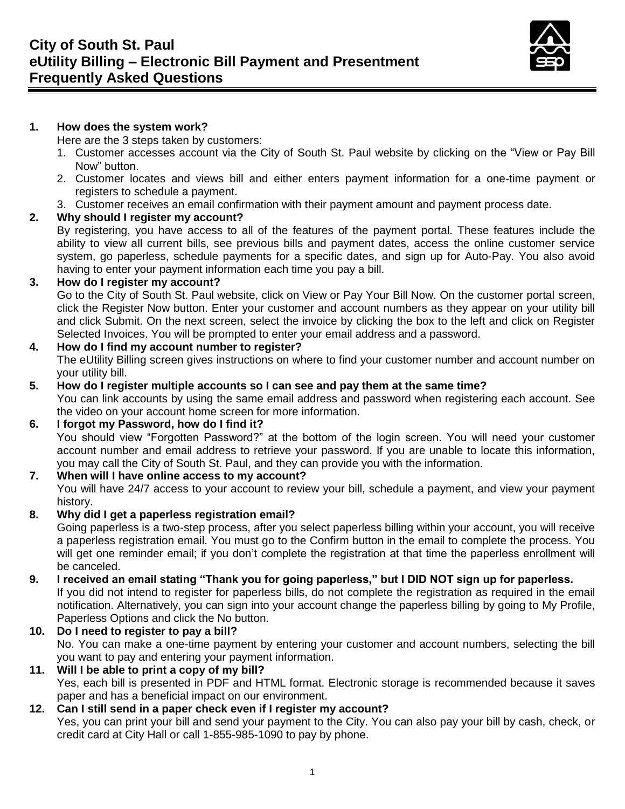

## **1. How does the system work?**

Here are the 3 steps taken by customers:

- 1. Customer accesses account via the City of South St. Paul website by clicking on the "View or Pay Bill Now" button.
- 2. Customer locates and views bill and either enters payment information for a one-time payment or registers to schedule a payment.
- 3. Customer receives an email confirmation with their payment amount and payment process date.

# **2. Why should I register my account?**

By registering, you have access to all of the features of the payment portal. These features include the ability to view all current bills, see previous bills and payment dates, access the online customer service system, go paperless, schedule payments for a specific dates, and sign up for Auto-Pay. You also avoid having to enter your payment information each time you pay a bill.

## **3. How do I register my account?**

Go to the City of South St. Paul website, click on View or Pay Your Bill Now. On the customer portal screen, click the Register Now button. Enter your customer and account numbers as they appear on your utility bill and click Submit. On the next screen, select the invoice by clicking the box to the left and click on Register Selected Invoices. You will be prompted to enter your email address and a password.

## **4. How do I find my account number to register?**

The eUtility Billing screen gives instructions on where to find your customer number and account number on your utility bill.

## **5. How do I register multiple accounts so I can see and pay them at the same time?**

You can link accounts by using the same email address and password when registering each account. See the video on your account home screen for more information.

## **6. I forgot my Password, how do I find it?**

You should view "Forgotten Password?" at the bottom of the login screen. You will need your customer account number and email address to retrieve your password. If you are unable to locate this information, you may call the City of South St. Paul, and they can provide you with the information.

## **7. When will I have online access to my account?**

You will have 24/7 access to your account to review your bill, schedule a payment, and view your payment history.

## **8. Why did I get a paperless registration email?**

Going paperless is a two-step process, after you select paperless billing within your account, you will receive a paperless registration email. You must go to the Confirm button in the email to complete the process. You will get one reminder email; if you don't complete the registration at that time the paperless enrollment will be canceled.

#### **9. I received an email stating "Thank you for going paperless," but I DID NOT sign up for paperless.** If you did not intend to register for paperless bills, do not complete the registration as required in the email notification. Alternatively, you can sign into your account change the paperless billing by going to My Profile, Paperless Options and click the No button.

**10. Do I need to register to pay a bill?** No. You can make a one-time payment by entering your customer and account numbers, selecting the bill you want to pay and entering your payment information.

## **11. Will I be able to print a copy of my bill?**

Yes, each bill is presented in PDF and HTML format. Electronic storage is recommended because it saves paper and has a beneficial impact on our environment.

# **12. Can I still send in a paper check even if I register my account?**

Yes, you can print your bill and send your payment to the City. You can also pay your bill by cash, check, or credit card at City Hall or call 1-855-985-1090 to pay by phone.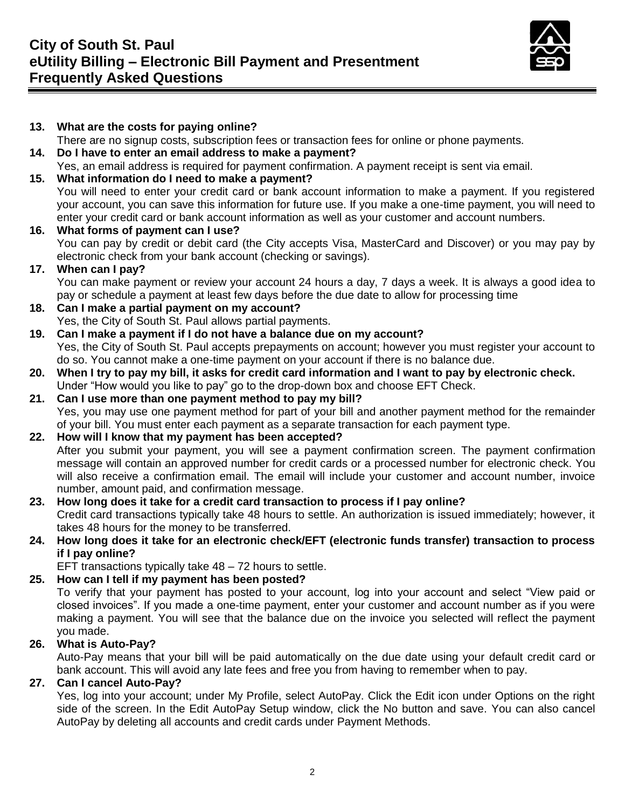

#### **13. What are the costs for paying online?** There are no signup costs, subscription fees or transaction fees for online or phone payments. **14. Do I have to enter an email address to make a payment?** Yes, an email address is required for payment confirmation. A payment receipt is sent via email. **15. What information do I need to make a payment?** You will need to enter your credit card or bank account information to make a payment. If you registered your account, you can save this information for future use. If you make a one-time payment, you will need to enter your credit card or bank account information as well as your customer and account numbers. **16. What forms of payment can I use?** You can pay by credit or debit card (the City accepts Visa, MasterCard and Discover) or you may pay by electronic check from your bank account (checking or savings). **17. When can I pay?** You can make payment or review your account 24 hours a day, 7 days a week. It is always a good idea to pay or schedule a payment at least few days before the due date to allow for processing time **18. Can I make a partial payment on my account?** Yes, the City of South St. Paul allows partial payments. **19. Can I make a payment if I do not have a balance due on my account?** Yes, the City of South St. Paul accepts prepayments on account; however you must register your account to do so. You cannot make a one-time payment on your account if there is no balance due. **20. When I try to pay my bill, it asks for credit card information and I want to pay by electronic check.** Under "How would you like to pay" go to the drop-down box and choose EFT Check. **21. Can I use more than one payment method to pay my bill?** Yes, you may use one payment method for part of your bill and another payment method for the remainder of your bill. You must enter each payment as a separate transaction for each payment type. **22. How will I know that my payment has been accepted?** After you submit your payment, you will see a payment confirmation screen. The payment confirmation message will contain an approved number for credit cards or a processed number for electronic check. You will also receive a confirmation email. The email will include your customer and account number, invoice number, amount paid, and confirmation message. **23. How long does it take for a credit card transaction to process if I pay online?** Credit card transactions typically take 48 hours to settle. An authorization is issued immediately; however, it takes 48 hours for the money to be transferred. **24. How long does it take for an electronic check/EFT (electronic funds transfer) transaction to process if I pay online?** EFT transactions typically take 48 – 72 hours to settle. **25. How can I tell if my payment has been posted?** To verify that your payment has posted to your account, log into your account and select "View paid or closed invoices". If you made a one-time payment, enter your customer and account number as if you were making a payment. You will see that the balance due on the invoice you selected will reflect the payment you made. **26. What is Auto-Pay?** Auto-Pay means that your bill will be paid automatically on the due date using your default credit card or

bank account. This will avoid any late fees and free you from having to remember when to pay.

# **27. Can I cancel Auto-Pay?**

Yes, log into your account; under My Profile, select AutoPay. Click the Edit icon under Options on the right side of the screen. In the Edit AutoPay Setup window, click the No button and save. You can also cancel AutoPay by deleting all accounts and credit cards under Payment Methods.